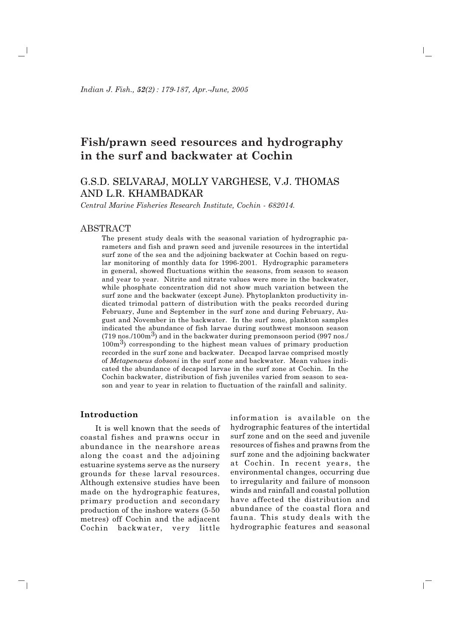Indian J. Fish., 52(2): 179-187, Apr.-June, 2005

# Fish/prawn seed resources and hydrography in the surf and backwater at Cochin

# G.S.D. SELVARAJ, MOLLY VARGHESE, V.J. THOMAS AND L.R. KHAMBADKAR

Central Marine Fisheries Research Institute, Cochin - 682014.

# **ABSTRACT**

The present study deals with the seasonal variation of hydrographic parameters and fish and prawn seed and juvenile resources in the intertidal surf zone of the sea and the adjoining backwater at Cochin based on regular monitoring of monthly data for 1996-2001. Hydrographic parameters in general, showed fluctuations within the seasons, from season to season and year to year. Nitrite and nitrate values were more in the backwater, while phosphate concentration did not show much variation between the surf zone and the backwater (except June). Phytoplankton productivity indicated trimodal pattern of distribution with the peaks recorded during February, June and September in the surf zone and during February, August and November in the backwater. In the surf zone, plankton samples indicated the abundance of fish larvae during southwest monsoon season  $(719 \text{ nos.}/100 \text{m}^3)$  and in the backwater during premonsoon period (997 nos./  $100m<sup>3</sup>$ ) corresponding to the highest mean values of primary production recorded in the surf zone and backwater. Decapod larvae comprised mostly of Metapenaeus dobsoni in the surf zone and backwater. Mean values indicated the abundance of decapod larvae in the surf zone at Cochin. In the Cochin backwater, distribution of fish juveniles varied from season to season and year to year in relation to fluctuation of the rainfall and salinity.

### Introduction

ĒΤ

It is well known that the seeds of coastal fishes and prawns occur in abundance in the nearshore areas along the coast and the adjoining estuarine systems serve as the nursery grounds for these larval resources. Although extensive studies have been made on the hydrographic features, primary production and secondary production of the inshore waters (5-50) metres) off Cochin and the adjacent Cochin backwater, very little

information is available on the hydrographic features of the intertidal surf zone and on the seed and juvenile resources of fishes and prawns from the surf zone and the adioining backwater at Cochin. In recent years, the environmental changes, occurring due to irregularity and failure of monsoon winds and rainfall and coastal pollution have affected the distribution and abundance of the coastal flora and fauna. This study deals with the hydrographic features and seasonal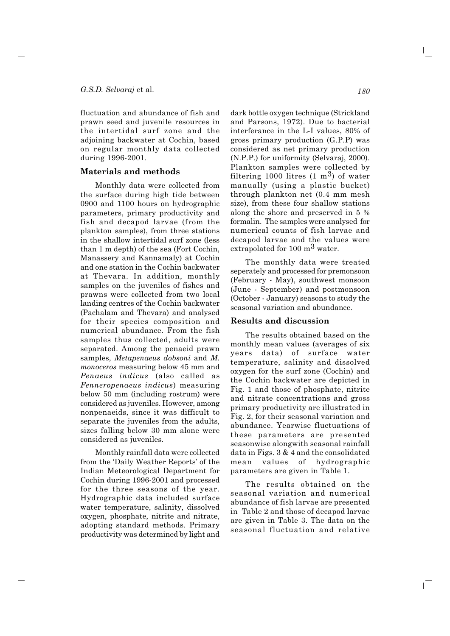fluctuation and abundance of fish and prawn seed and juvenile resources in the intertidal surf zone and the adjoining backwater at Cochin, based on regular monthly data collected during 1996-2001.

# Materials and methods

Monthly data were collected from the surface during high tide between 0900 and 1100 hours on hydrographic parameters, primary productivity and fish and decapod larvae (from the plankton samples), from three stations in the shallow intertidal surf zone (less) than 1 m depth) of the sea (Fort Cochin, Manassery and Kannamaly) at Cochin and one station in the Cochin backwater at Thevara. In addition, monthly samples on the juveniles of fishes and prawns were collected from two local landing centres of the Cochin backwater (Pachalam and Thevara) and analysed for their species composition and numerical abundance. From the fish samples thus collected, adults were separated. Among the penaeid prawn samples, Metapenaeus dobsoni and M. *monoceros* measuring below 45 mm and Penaeus indicus (also called as Fenneropenaeus indicus) measuring below 50 mm (including rostrum) were considered as juveniles. However, among nonpenaeids, since it was difficult to separate the juveniles from the adults, sizes falling below 30 mm alone were considered as juveniles.

Monthly rainfall data were collected from the 'Daily Weather Reports' of the Indian Meteorological Department for Cochin during 1996-2001 and processed for the three seasons of the year. Hydrographic data included surface water temperature, salinity, dissolved oxygen, phosphate, nitrite and nitrate, adopting standard methods. Primary productivity was determined by light and

ັ ∣

dark bottle oxygen technique (Strickland and Parsons, 1972). Due to bacterial interferance in the L-I values, 80% of gross primary production (G.P.P) was considered as net primary production (N.P.P.) for uniformity (Selvaraj, 2000). Plankton samples were collected by filtering 1000 litres  $(1 \text{ m}^3)$  of water manually (using a plastic bucket) through plankton net (0.4 mm mesh) size), from these four shallow stations along the shore and preserved in 5 % formalin. The samples were analysed for numerical counts of fish larvae and decapod larvae and the values were extrapolated for 100  $m<sup>3</sup>$  water.

The monthly data were treated seperately and processed for premonsoon (February - May), southwest monsoon (June - September) and postmonsoon (October - January) seasons to study the seasonal variation and abundance.

#### **Results and discussion**

The results obtained based on the monthly mean values (averages of six years data) of surface water temperature, salinity and dissolved oxygen for the surf zone (Cochin) and the Cochin backwater are depicted in Fig. 1 and those of phosphate, nitrite and nitrate concentrations and gross primary productivity are illustrated in Fig. 2, for their seasonal variation and abundance. Yearwise fluctuations of these parameters are presented seasonwise alongwith seasonal rainfall data in Figs.  $3 & 4$  and the consolidated mean values of hydrographic parameters are given in Table 1.

The results obtained on the seasonal variation and numerical abundance of fish larvae are presented in Table 2 and those of decapod larvae are given in Table 3. The data on the seasonal fluctuation and relative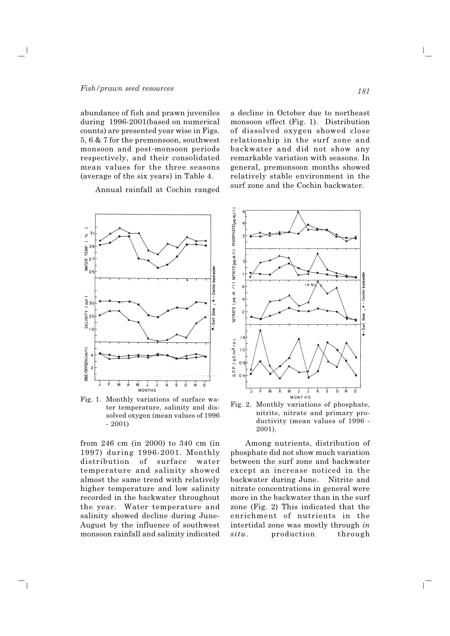abundance of fish and prawn juveniles during 1996-2001 (based on numerical counts) are presented year wise in Figs. 5, 6 & 7 for the premonsoon, southwest monsoon and post-monsoon periods respectively, and their consolidated mean values for the three seasons (average of the six years) in Table 4.

Annual rainfall at Cochin ranged



Fig. 1. Monthly variations of surface water temperature, salinity and dissolved oxygen (mean values of 1996  $-2001$ 

from 246 cm (in 2000) to 340 cm (in 1997) during 1996-2001. Monthly distribution of surface water temperature and salinity showed almost the same trend with relatively higher temperature and low salinity recorded in the backwater throughout the year. Water temperature and salinity showed decline during June-August by the influence of southwest monsoon rainfall and salinity indicated

<u>ً</u> ا

a decline in October due to northeast monsoon effect (Fig. 1). Distribution of dissolved oxygen showed close relationship in the surf zone and backwater and did not show any remarkable variation with seasons. In general, premonsoon months showed relatively stable environment in the surf zone and the Cochin backwater.



Fig. 2. Monthly variations of phosphate, nitrite, nitrate and primary productivity (mean values of 1996 -2001).

Among nutrients, distribution of phosphate did not show much variation between the surf zone and backwater except an increase noticed in the backwater during June. Nitrite and nitrate concentrations in general were more in the backwater than in the surf zone (Fig. 2) This indicated that the enrichment of nutrients in the intertidal zone was mostly through in  $situ.$ production through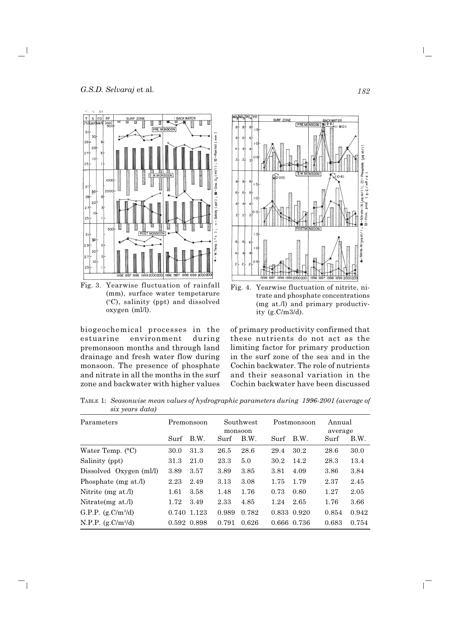

Fig. 3. Yearwise fluctuation of rainfall (mm), surface water tempetarure (°C), salinity (ppt) and dissolved oxygen (ml/l).

biogeochemical processes in the estuarine environment during premonsoon months and through land drainage and fresh water flow during monsoon. The presence of phosphate and nitrate in all the months in the surf zone and backwater with higher values

 $\blacksquare$ 



Fig. 4. Yearwise fluctuation of nitrite, nitrate and phosphate concentrations (mg at./l) and primary productivity  $(g.C/m3/d)$ .

of primary productivity confirmed that these nutrients do not act as the limiting factor for primary production in the surf zone of the sea and in the Cochin backwater. The role of nutrients and their seasonal variation in the Cochin backwater have been discussed

TABLE 1: Seasonwise mean values of hydrographic parameters during 1996-2001 (average of six years data)

| Parameters                   |      | Premonsoon  | Southwest<br>monsoon |       |      | Postmonsoon |       | Annual<br>average |  |
|------------------------------|------|-------------|----------------------|-------|------|-------------|-------|-------------------|--|
|                              | Surf | B.W.        | Surf                 | B.W.  | Surf | B.W.        | Surf  | B.W.              |  |
| Water Temp. $(^{\circ}C)$    | 30.0 | 31.3        | 26.5                 | 28.6  | 29.4 | 30.2        | 28.6  | 30.0              |  |
| Salinity (ppt)               | 31.3 | 21.0        | 23.3                 | 5.0   | 30.2 | 14.2        | 28.3  | 13.4              |  |
| Dissolved Oxygen (ml/l)      | 3.89 | 3.57        | 3.89                 | 3.85  | 3.81 | 4.09        | 3.86  | 3.84              |  |
| Phosphate (mg at./l)         | 2.23 | 2.49        | 3.13                 | 3.08  | 1.75 | 1.79        | 2.37  | 2.45              |  |
| Nitrite $(mg \text{ at.}/l)$ | 1.61 | 3.58        | 1.48                 | 1.76  | 0.73 | 0.80        | 1.27  | 2.05              |  |
| Nitrate $(mg \text{ at.}/l)$ | 1.72 | 3.49        | 2.33                 | 4.85  | 1.24 | 2.65        | 1.76  | 3.66              |  |
| G.P.P. $(g.C/m^{3}/d)$       |      | 0.740 1.123 | 0.989                | 0.782 |      | 0.833 0.920 | 0.854 | 0.942             |  |
| N.P.P. $(g.C/m^{3}/d)$       |      | 0.592 0.898 | 0.791                | 0.626 |      | 0.666 0.736 | 0.683 | 0.754             |  |

 $\mathbf{L}$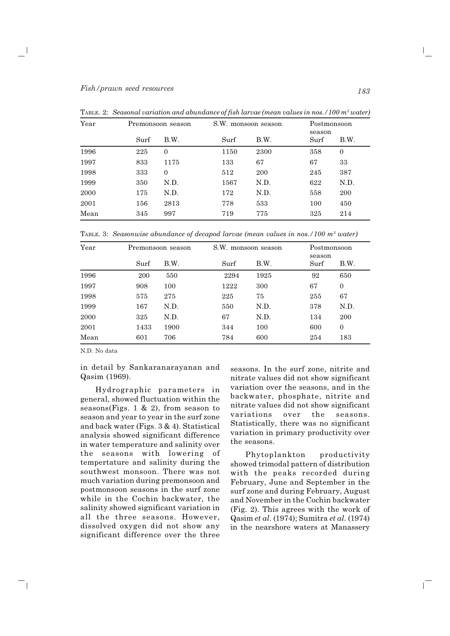| Year |      | S.W. monsoon season<br>Premonsoon season |      | Postmonsoon<br>season |      |              |
|------|------|------------------------------------------|------|-----------------------|------|--------------|
|      | Surf | B.W.                                     | Surf | B.W.                  | Surf | B.W.         |
| 1996 | 225  | $\mathbf{0}$                             | 1150 | 2300                  | 358  | $\mathbf{0}$ |
| 1997 | 833  | 1175                                     | 133  | 67                    | 67   | 33           |
| 1998 | 333  | $\overline{0}$                           | 512  | 200                   | 245  | 387          |
| 1999 | 350  | N.D.                                     | 1567 | N.D.                  | 622  | N.D.         |
| 2000 | 175  | N.D.                                     | 172  | N.D.                  | 558  | 200          |
| 2001 | 156  | 2813                                     | 778  | 533                   | 100  | 450          |
| Mean | 345  | 997                                      | 719  | 775                   | 325  | 214          |

TABLE. 2: Seasonal variation and abundance of fish larvae (mean values in nos.  $/100 m^3$  water)

TABLE. 3: Seasonwise abundance of decapod larvae (mean values in nos./100  $m^3$  water)

| Year |      | Premonsoon season | S.W. monsoon season |      | season | Postmonsoon  |  |
|------|------|-------------------|---------------------|------|--------|--------------|--|
|      | Surf | B.W.              | Surf                | B.W. | Surf   | B.W.         |  |
| 1996 | 200  | 550               | 2294                | 1925 | 92     | 650          |  |
| 1997 | 908  | 100               | 1222                | 300  | 67     | 0            |  |
| 1998 | 575  | 275               | 225                 | 75   | 255    | 67           |  |
| 1999 | 167  | N.D.              | 550                 | N.D. | 378    | N.D.         |  |
| 2000 | 325  | N.D.              | 67                  | N.D. | 134    | 200          |  |
| 2001 | 1433 | 1900              | 344                 | 100  | 600    | $\mathbf{0}$ |  |
| Mean | 601  | 706               | 784                 | 600  | 254    | 183          |  |

N.D. No data

 $\blacksquare$ 

in detail by Sankaranarayanan and Qasim (1969).

Hydrographic parameters in general, showed fluctuation within the seasons(Figs. 1 & 2), from season to season and year to year in the surf zone and back water (Figs. 3 & 4). Statistical analysis showed significant difference in water temperature and salinity over the seasons with lowering of tempertature and salinity during the southwest monsoon. There was not much variation during premonsoon and postmonsoon seasons in the surf zone while in the Cochin backwater, the salinity showed significant variation in all the three seasons. However, dissolved oxygen did not show any significant difference over the three

seasons. In the surf zone, nitrite and nitrate values did not show significant variation over the seasons, and in the backwater, phosphate, nitrite and nitrate values did not show significant seasons.  $the$ variations over Statistically, there was no significant variation in primary productivity over the seasons.

Phytoplankton productivity showed trimodal pattern of distribution with the peaks recorded during February, June and September in the surf zone and during February, August and November in the Cochin backwater (Fig. 2). This agrees with the work of Qasim et al. (1974); Sumitra et al. (1974) in the nearshore waters at Manassery

 $\mathbf{I}$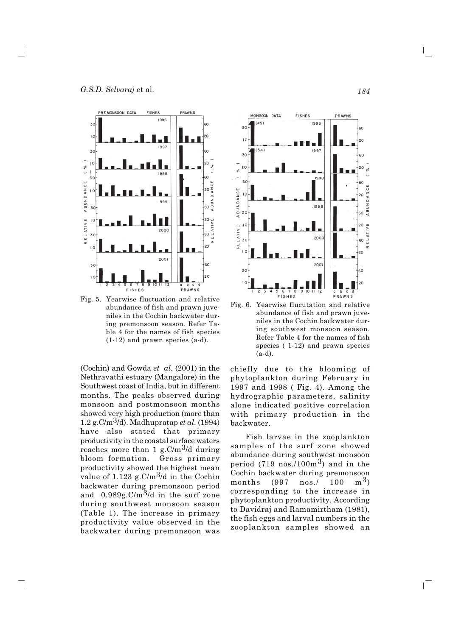

Fig. 5. Yearwise fluctuation and relative abundance of fish and prawn juveniles in the Cochin backwater during premonsoon season. Refer Table 4 for the names of fish species  $(1-12)$  and prawn species  $(a-d)$ .

(Cochin) and Gowda et al.  $(2001)$  in the Nethravathi estuary (Mangalore) in the Southwest coast of India, but in different months. The peaks observed during monsoon and postmonsoon months showed very high production (more than 1.2 g.C/m<sup>3</sup>/d). Madhupratap *et al.* (1994) have also stated that primary productivity in the coastal surface waters reaches more than 1 g.C/m<sup>3</sup>/d during bloom formation. Gross primary productivity showed the highest mean value of 1.123 g.C/m<sup>3</sup>/d in the Cochin backwater during premonsoon period and  $0.989g.C/m^3/d$  in the surf zone during southwest monsoon season (Table 1). The increase in primary productivity value observed in the backwater during premonsoon was

 $\overline{\phantom{0}}$ 



Fig. 6. Yearwise flucutation and relative abundance of fish and prawn juveniles in the Cochin backwater during southwest monsoon season. Refer Table 4 for the names of fish species  $(1-12)$  and prawn species  $(a-d).$ 

chiefly due to the blooming of phytoplankton during February in 1997 and 1998 (Fig. 4). Among the hydrographic parameters, salinity alone indicated positive correlation with primary production in the backwater.

Fish larvae in the zooplankton samples of the surf zone showed abundance during southwest monsoon period  $(719 \text{ nos.}/100 \text{m}^3)$  and in the Cochin backwater during premonsoon  $nos. /$ 100  $m^3$ months (997 corresponding to the increase in phytoplankton productivity. According to Davidraj and Ramamirtham (1981), the fish eggs and larval numbers in the zooplankton samples showed an

 $\mathbf{L}$ 

184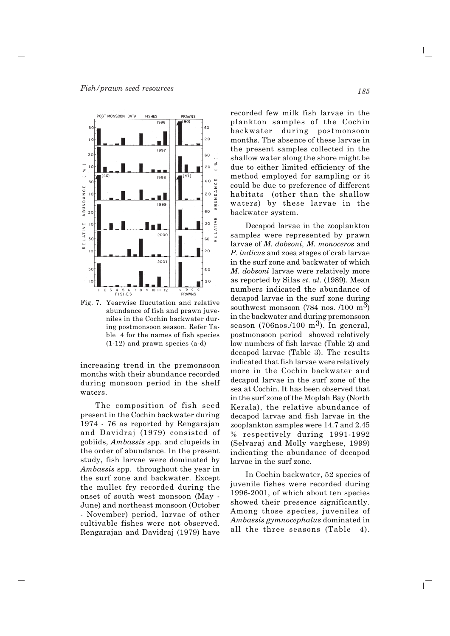

Fig. 7. Yearwise flucutation and relative abundance of fish and prawn juveniles in the Cochin backwater during postmonsoon season. Refer Table 4 for the names of fish species  $(1-12)$  and prawn species  $(a-d)$ 

increasing trend in the premonsoon months with their abundance recorded during monsoon period in the shelf waters.

The composition of fish seed present in the Cochin backwater during 1974 - 76 as reported by Rengarajan and Davidraj (1979) consisted of gobiids, Ambassis spp. and clupeids in the order of abundance. In the present study, fish larvae were dominated by Ambassis spp. throughout the year in the surf zone and backwater. Except the mullet fry recorded during the onset of south west monsoon (May -June) and northeast monsoon (October - November) period, larvae of other cultivable fishes were not observed. Rengarajan and Davidraj (1979) have

 $\overline{\phantom{0}}$ 

recorded few milk fish larvae in the plankton samples of the Cochin backwater during postmonsoon months. The absence of these larvae in the present samples collected in the shallow water along the shore might be due to either limited efficiency of the method employed for sampling or it could be due to preference of different habitats (other than the shallow waters) by these larvae in the backwater system.

Decapod larvae in the zooplankton samples were represented by prawn larvae of  $M$ . dobsoni,  $M$ . monoceros and P. indicus and zoea stages of crab larvae in the surf zone and backwater of which M. dobsoni larvae were relatively more as reported by Silas et. al. (1989). Mean numbers indicated the abundance of decaped larvae in the surf zone during southwest monsoon  $(784 \text{ nos.}/100 \text{ m}^3)$ in the backwater and during premonsoon season (706nos./100 m<sup>3</sup>). In general, postmonsoon period showed relatively low numbers of fish larvae (Table 2) and decapod larvae (Table 3). The results indicated that fish larvae were relatively more in the Cochin backwater and decaped larvae in the surf zone of the sea at Cochin. It has been observed that in the surf zone of the Moplah Bay (North Kerala), the relative abundance of decapod larvae and fish larvae in the zooplankton samples were 14.7 and 2.45 % respectively during 1991-1992 (Selvaraj and Molly varghese, 1999) indicating the abundance of decapod larvae in the surf zone.

In Cochin backwater, 52 species of juvenile fishes were recorded during 1996-2001, of which about ten species showed their presence significantly. Among those species, juveniles of Ambassis gymnocephalus dominated in all the three seasons (Table 4).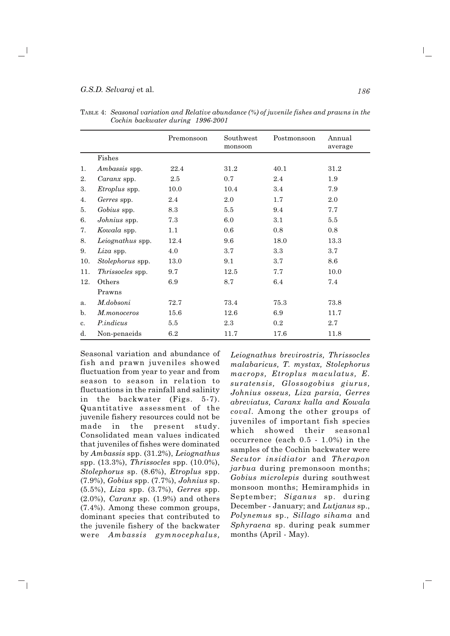#### G.S.D. Selvaraj et al.

|     |                  | Premonsoon | Southwest<br>monsoon | Postmonsoon | Annual<br>average |
|-----|------------------|------------|----------------------|-------------|-------------------|
|     | Fishes           |            |                      |             |                   |
| 1.  | Ambassis spp.    | 22.4       | 31.2                 | 40.1        | 31.2              |
| 2.  | Caranx spp.      | 2.5        | 0.7                  | 2.4         | 1.9               |
| 3.  | Etroplus spp.    | 10.0       | 10.4                 | 3.4         | 7.9               |
| 4.  | Gerres spp.      | 2.4        | 2.0                  | 1.7         | 2.0               |
| 5.  | Gobius spp.      | 8.3        | 5.5                  | 9.4         | 7.7               |
| 6.  | Johnius spp.     | 7.3        | 6.0                  | 3.1         | 5.5               |
| 7.  | Kowala spp.      | 1.1        | 0.6                  | 0.8         | 0.8               |
| 8.  | Leiognathus spp. | 12.4       | 9.6                  | 18.0        | 13.3              |
| 9.  | Liza spp.        | 4.0        | 3.7                  | 3.3         | 3.7               |
| 10. | Stolephorus spp. | 13.0       | 9.1                  | 3.7         | 8.6               |
| 11. | Thrissocles spp. | 9.7        | 12.5                 | 7.7         | 10.0              |
| 12. | Others           | 6.9        | 8.7                  | 6.4         | 7.4               |
|     | Prawns           |            |                      |             |                   |
| a.  | M.dobsoni        | 72.7       | 73.4                 | 75.3        | 73.8              |
| b.  | M.monoceros      | 15.6       | 12.6                 | 6.9         | 11.7              |
| c.  | <i>P.indicus</i> | 5.5        | 2.3                  | 0.2         | 2.7               |
| d.  | Non-penaeids     | 6.2        | 11.7                 | 17.6        | 11.8              |

TABLE 4: Seasonal variation and Relative abundance (%) of juvenile fishes and prawns in the Cochin backwater during 1996-2001

Seasonal variation and abundance of fish and prawn juveniles showed fluctuation from year to year and from season to season in relation to fluctuations in the rainfall and salinity in the backwater (Figs. 5-7). Quantitative assessment of the juvenile fishery resources could not be the present made in study. Consolidated mean values indicated that juveniles of fishes were dominated by Ambassis spp.  $(31.2\%)$ , Leiognathus spp.  $(13.3\%)$ , *Thrissocles* spp.  $(10.0\%)$ , Stolephorus sp. (8.6%), Etroplus spp.  $(7.9\%)$ , Gobius spp.  $(7.7\%)$ , Johnius sp.  $(5.5\%)$ , *Liza* spp.  $(3.7\%)$ , *Gerres* spp.  $(2.0\%)$ , *Caranx* sp.  $(1.9\%)$  and others  $(7.4\%)$ . Among these common groups, dominant species that contributed to the juvenile fishery of the backwater were Ambassis gymnocephalus,

 $\blacksquare$ 

Leiognathus brevirostris, Thrissocles malabaricus, T. mystax, Stolephorus macrops, Etroplus maculatus, E. suratensis, Glossogobius giurus, Johnius osseus, Liza parsia, Gerres abreviatus, Caranx kalla and Kowala coval. Among the other groups of juveniles of important fish species showed their seasonal which occurrence (each  $0.5 - 1.0\%$ ) in the samples of the Cochin backwater were Secutor insidiator and Therapon *jarbua* during premonsoon months; Gobius microlepis during southwest monsoon months; Hemiramphids in September; Siganus sp. during December - January; and Lutjanus sp., Polynemus sp., Sillago sihama and Sphyraena sp. during peak summer months (April - May).